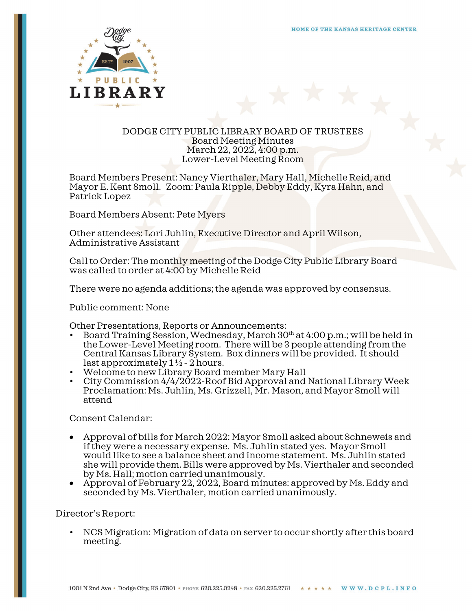

## DODGE CITY PUBLIC LIBRARY BOARD OF TRUSTEES Board Meeting Minutes March 22, 2022, 4:00 p.m. Lower-Level Meeting Room

Board Members Present: Nancy Vierthaler, Mary Hall, Michelle Reid, and Mayor E. Kent Smoll. Zoom: Paula Ripple, Debby Eddy, Kyra Hahn, and Patrick Lopez

Board Members Absent: Pete Myers

Other attendees: Lori Juhlin, Executive Director and April Wilson, Administrative Assistant

Call to Order: The monthly meeting of the Dodge City Public Library Board was called to order at 4:00 by Michelle Reid

There were no agenda additions; the agenda was approved by consensus.

Public comment: None

- Other Presentations, Reports or Announcements:<br>• Board Training Session, Wednesday, March 30<sup>th</sup> at 4:00 p.m.; will be held in the Lower-Level Meeting room. There will be 3 people attending from the Central Kansas Library System. Box dinners will be provided. It should last approximately  $1\frac{1}{2}$  - 2 hours.
- Welcome to new Library Board member Mary Hall
- City Commission 4/4/2022-Roof Bid Approval and National Library Week Proclamation: Ms. Juhlin, Ms. Grizzell, Mr. Mason, and Mayor Smoll will attend

Consent Calendar:

- Approval of bills for March 2022: Mayor Smoll asked about Schneweis and if they were a necessary expense. Ms. Juhlin stated yes. Mayor Smoll would like to see a balance sheet and income statement. Ms. Juhlin stated she will provide them. Bills were approved by Ms. Vierthaler and seconded by Ms. Hall; motion carried unanimously.
- Approval of February 22, 2022, Board minutes: approved by Ms. Eddy and seconded by Ms. Vierthaler, motion carried unanimously.

Director's Report:

• NCS Migration: Migration of data on server to occur shortly after this board meeting.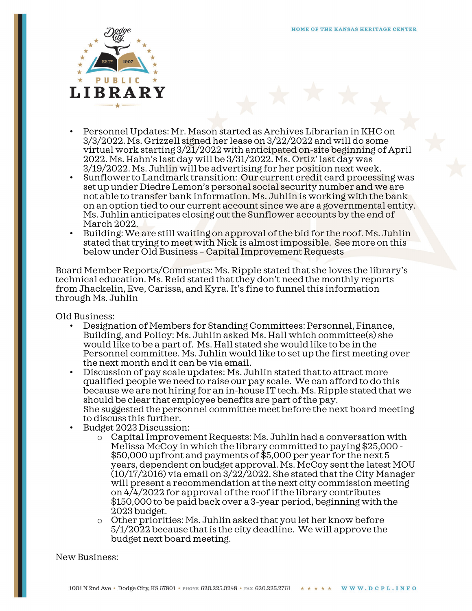

- Personnel Updates: Mr. Mason started as Archives Librarian in KHC on 3/3/2022. Ms. Grizzell signed her lease on 3/22/2022 and will do some virtual work starting 3/21/2022 with anticipated on-site beginning of April 2022. Ms. Hahn's last day will be 3/31/2022. Ms. Ortiz' last day was
- 3/19/2022. Ms. Juhlin will be advertising for her position next week.<br>Sunflower to Landmark transition: Our current credit card processing was set up under Diedre Lemon's personal social security number and we are not able to transfer bank information. Ms. Juhlin is working with the bank on an option tied to our current account since we are a governmental entity. Ms. Juhlin anticipates closing out the Sunflower accounts by the end of
- $\bullet$  Building: We are still waiting on approval of the bid for the roof. Ms. Juhlin stated that trying to meet with Nick is almost impossible. See more on this below under Old Business – Capital Improvement Requests

Board Member Reports/Comments: Ms. Ripple stated that she loves the library's technical education. Ms. Reid stated that they don't need the monthly reports from Jhackelin, Eve, Carissa, and Kyra. It's fine to funnel this information through Ms. Juhlin

- Old Business: Designation of Members for Standing Committees: Personnel, Finance, Building, and Policy: Ms. Juhlin asked Ms. Hall which committee(s) she would like to be a part of. Ms. Hall stated she would like to be in the Personnel committee. Ms. Juhlin would like to set up the first meeting over the next month and it can be via email.
	- Discussion of pay scale updates: Ms. Juhlin stated that to attract more qualified people we need to raise our pay scale. We can afford to do this because we are not hiring for an in-house IT tech. Ms. Ripple stated that we should be clear that employee benefits are part of the pay. She suggested the personnel committee meet before the next board meeting to discuss this further.
	- Budget 2023 Discussion:
		- o Capital Improvement Requests: Ms. Juhlin had a conversation with Melissa McCoy in which the library committed to paying \$25,000 - \$50,000 upfront and payments of \$5,000 per year for the next 5 years, dependent on budget approval. Ms. McCoy sent the latest MOU (10/17/2016) via email on 3/22/2022. She stated that the City Manager will present a recommendation at the next city commission meeting on 4/4/2022 for approval of the roof if the library contributes \$150,000 to be paid back over a 3-year period, beginning with the 2023 budget.
		- o Other priorities: Ms. Juhlin asked that you let her know before 5/1/2022 because that is the city deadline. We will approve the budget next board meeting.

New Business: